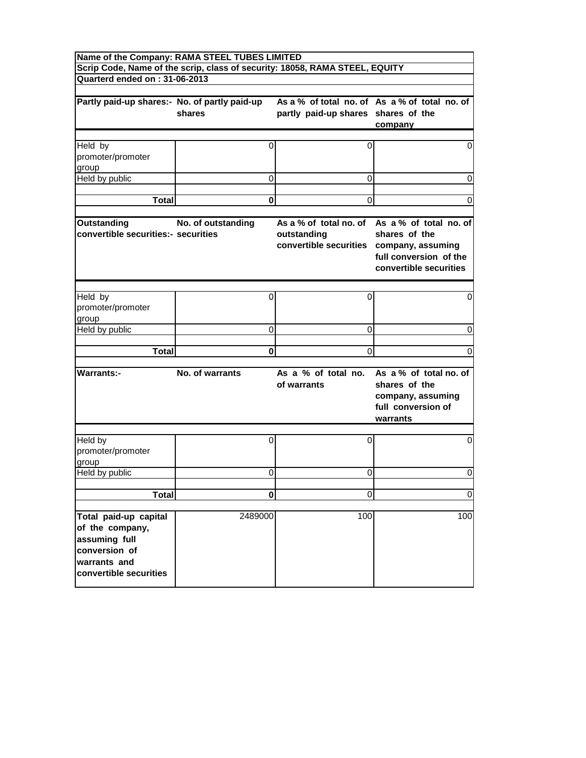| Name of the Company: RAMA STEEL TUBES LIMITED                                                                        |                    |                                                                                   |                                                                                                                    |
|----------------------------------------------------------------------------------------------------------------------|--------------------|-----------------------------------------------------------------------------------|--------------------------------------------------------------------------------------------------------------------|
| Quarterd ended on: 31-06-2013                                                                                        |                    | Scrip Code, Name of the scrip, class of security: 18058, RAMA STEEL, EQUITY       |                                                                                                                    |
|                                                                                                                      |                    |                                                                                   |                                                                                                                    |
| Partly paid-up shares:- No. of partly paid-up                                                                        | shares             | partly paid-up shares shares of the                                               | As a % of total no. of As a % of total no. of<br>company                                                           |
| Held by                                                                                                              | 0                  | 0                                                                                 | 0                                                                                                                  |
| promoter/promoter<br>group                                                                                           |                    |                                                                                   |                                                                                                                    |
| Held by public                                                                                                       | 0                  | 0                                                                                 | 0                                                                                                                  |
|                                                                                                                      |                    |                                                                                   |                                                                                                                    |
| <b>Total</b>                                                                                                         | 0                  | 0                                                                                 | 0                                                                                                                  |
| <b>Outstanding</b><br>convertible securities:- securities                                                            | No. of outstanding | As a % of total no, of<br>outstanding<br>convertible securities company, assuming | As a % of total no. of<br>shares of the<br>full conversion of the<br>convertible securities                        |
| Held by                                                                                                              |                    |                                                                                   |                                                                                                                    |
| promoter/promoter<br>group                                                                                           | 0                  | 0                                                                                 | 0                                                                                                                  |
| Held by public                                                                                                       | 0                  | 0                                                                                 | 0                                                                                                                  |
|                                                                                                                      |                    |                                                                                   |                                                                                                                    |
| <b>Total</b>                                                                                                         | 0                  | 0                                                                                 | 0                                                                                                                  |
| <b>Warrants:-</b>                                                                                                    | No. of warrants    | of warrants                                                                       | As a % of total no. As a % of total no. of<br>shares of the<br>company, assuming<br>full conversion of<br>warrants |
| Held by<br>promoter/promoter<br>group                                                                                | 0                  | $\Omega$                                                                          | 0                                                                                                                  |
| Held by public                                                                                                       | 0                  | 0                                                                                 | 0                                                                                                                  |
|                                                                                                                      |                    |                                                                                   |                                                                                                                    |
| <b>Total</b>                                                                                                         | $\mathbf{0}$       | $\Omega$                                                                          | $\mathbf 0$                                                                                                        |
| Total paid-up capital<br>of the company,<br>assuming full<br>conversion of<br>warrants and<br>convertible securities | 2489000            | 100                                                                               | 100                                                                                                                |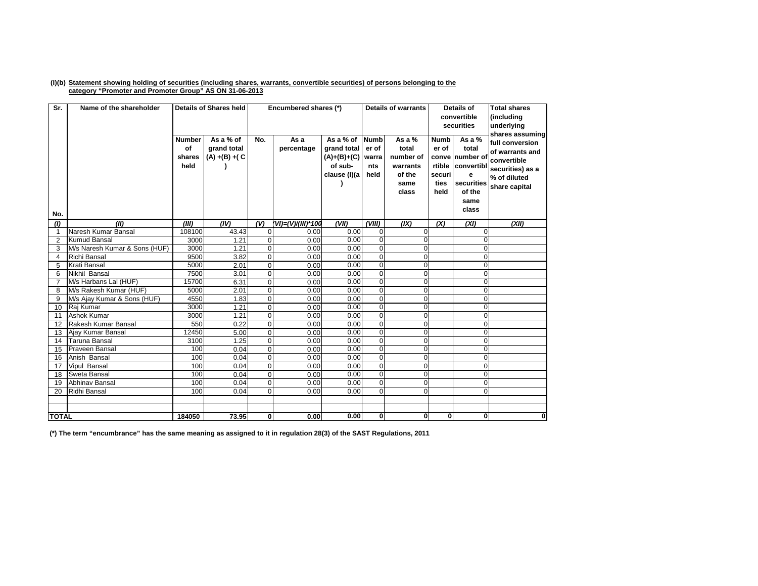## (I)(b) Statement showing holding of securities (including shares, warrants, convertible securities) of persons belonging to the **category "Promoter and Promoter Group" AS ON 31-06-2013**

| Sr.            | Name of the shareholder       |                                       | <b>Details of Shares held</b>                 |                | Encumbered shares (*) |                                                                    | <b>Details of warrants</b>                   |                                                                       |                                                | Details of<br>convertible<br>securities                                                               | <b>Total shares</b><br>(including<br>underlying<br>shares assuming                                     |
|----------------|-------------------------------|---------------------------------------|-----------------------------------------------|----------------|-----------------------|--------------------------------------------------------------------|----------------------------------------------|-----------------------------------------------------------------------|------------------------------------------------|-------------------------------------------------------------------------------------------------------|--------------------------------------------------------------------------------------------------------|
| No.            |                               | <b>Number</b><br>of<br>shares<br>held | As a % of<br>grand total<br>$(A) + (B) + (C)$ | No.            | As a<br>percentage    | As a % of<br>grand total<br>(A)+(B)+(C)<br>of sub-<br>clause (I)(a | <b>Numb</b><br>er of<br>warra<br>nts<br>held | As a $%$<br>total<br>number of<br>warrants<br>of the<br>same<br>class | <b>Numb</b><br>er of<br>securi<br>ties<br>held | As a %<br>total<br>conve number of<br>rtible convertibl<br>е<br>securities<br>of the<br>same<br>class | full conversion<br>of warrants and<br>convertible<br>securities) as a<br>% of diluted<br>share capital |
| (1)            | (III)                         | (III)                                 | (IV)                                          | (V)            | (VI)=(V)/(III)*100    | (VII)                                                              | (VIII)                                       | (IX)                                                                  | (X)                                            | (XI)                                                                                                  | (XII)                                                                                                  |
| $\mathbf{1}$   | Naresh Kumar Bansal           | 108100                                | 43.43                                         | $\overline{0}$ | 0.00                  | 0.00                                                               | $\overline{0}$                               | $\Omega$                                                              |                                                | $\Omega$                                                                                              |                                                                                                        |
| 2              | <b>Kumud Bansal</b>           | 3000                                  | 1.21                                          | $\overline{0}$ | 0.00                  | 0.00                                                               | $\overline{0}$                               | $\Omega$                                                              |                                                | U                                                                                                     |                                                                                                        |
| 3              | M/s Naresh Kumar & Sons (HUF) | 3000                                  | 1.21                                          | $\overline{0}$ | 0.00                  | 0.00                                                               | $\overline{0}$                               | $\Omega$                                                              |                                                | $\Omega$                                                                                              |                                                                                                        |
| $\overline{4}$ | <b>Richi Bansal</b>           | 9500                                  | 3.82                                          | $\overline{0}$ | 0.00                  | 0.00                                                               | $\overline{0}$                               | $\Omega$                                                              |                                                | $\Omega$                                                                                              |                                                                                                        |
| 5              | <b>Krati Bansal</b>           | 5000                                  | 2.01                                          | $\overline{0}$ | 0.00                  | 0.00                                                               | $\overline{0}$                               | $\Omega$                                                              |                                                | $\Omega$                                                                                              |                                                                                                        |
| 6              | Nikhil Bansal                 | 7500                                  | 3.01                                          | $\overline{0}$ | 0.00                  | 0.00                                                               | O                                            | $\Omega$                                                              |                                                | $\Omega$                                                                                              |                                                                                                        |
| 7              | M/s Harbans Lal (HUF)         | 15700                                 | 6.31                                          | $\overline{0}$ | 0.00                  | 0.00                                                               | $\overline{0}$                               | $\Omega$                                                              |                                                | $\Omega$                                                                                              |                                                                                                        |
| 8              | M/s Rakesh Kumar (HUF)        | 5000                                  | 2.01                                          | $\overline{0}$ | 0.00                  | 0.00                                                               | $\overline{0}$                               | $\Omega$                                                              |                                                | $\Omega$                                                                                              |                                                                                                        |
| 9              | M/s Ajay Kumar & Sons (HUF)   | 4550                                  | 1.83                                          | $\overline{0}$ | 0.00                  | 0.00                                                               | $\overline{0}$                               | $\Omega$                                                              |                                                | $\Omega$                                                                                              |                                                                                                        |
| 10             | Raj Kumar                     | 3000                                  | 1.21                                          | $\Omega$       | 0.00                  | 0.00                                                               | $\overline{0}$                               | $\Omega$                                                              |                                                | $\Omega$                                                                                              |                                                                                                        |
| 11             | Ashok Kumar                   | 3000                                  | 1.21                                          | $\Omega$       | 0.00                  | 0.00                                                               | $\overline{0}$                               | $\Omega$                                                              |                                                | $\Omega$                                                                                              |                                                                                                        |
| 12             | Rakesh Kumar Bansal           | 550                                   | 0.22                                          | $\mathbf{0}$   | 0.00                  | 0.00                                                               | $\overline{0}$                               | $\Omega$                                                              |                                                | $\Omega$                                                                                              |                                                                                                        |
| 13             | Ajay Kumar Bansal             | 12450                                 | 5.00                                          | $\Omega$       | 0.00                  | 0.00                                                               | $\overline{0}$                               | $\Omega$                                                              |                                                | $\Omega$                                                                                              |                                                                                                        |
| 14             | <b>Taruna Bansal</b>          | 3100                                  | 1.25                                          | $\mathbf{0}$   | 0.00                  | 0.00                                                               | $\overline{0}$                               | $\Omega$                                                              |                                                | $\Omega$                                                                                              |                                                                                                        |
| 15             | <b>Praveen Bansal</b>         | 100                                   | 0.04                                          | $\Omega$       | 0.00                  | 0.00                                                               | $\overline{0}$                               | $\Omega$                                                              |                                                | $\Omega$                                                                                              |                                                                                                        |
| 16             | Anish Bansal                  | 100                                   | 0.04                                          | $\overline{0}$ | 0.00                  | 0.00                                                               | $\overline{0}$                               | $\Omega$                                                              |                                                | $\Omega$                                                                                              |                                                                                                        |
| 17             | Vipul Bansal                  | 100                                   | 0.04                                          | $\mathbf{0}$   | 0.00                  | 0.00                                                               | $\overline{0}$                               | $\Omega$                                                              |                                                | $\Omega$                                                                                              |                                                                                                        |
| 18             | Sweta Bansal                  | 100                                   | 0.04                                          | $\Omega$       | 0.00                  | 0.00                                                               | $\overline{0}$                               | $\Omega$                                                              |                                                | $\Omega$                                                                                              |                                                                                                        |
| 19             | <b>Abhinav Bansal</b>         | 100                                   | 0.04                                          | $\Omega$       | 0.00                  | 0.00                                                               | $\overline{0}$                               | $\Omega$                                                              |                                                | $\Omega$                                                                                              |                                                                                                        |
| 20             | Ridhi Bansal                  | 100                                   | 0.04                                          | $\Omega$       | 0.00                  | 0.00                                                               | $\Omega$                                     | $\Omega$                                                              |                                                | $\Omega$                                                                                              |                                                                                                        |
|                |                               |                                       |                                               |                |                       |                                                                    |                                              |                                                                       |                                                |                                                                                                       |                                                                                                        |
|                |                               |                                       |                                               |                |                       |                                                                    |                                              |                                                                       |                                                |                                                                                                       |                                                                                                        |
| <b>TOTAL</b>   |                               | 184050                                | 73.95                                         | $\mathbf{0}$   | 0.00                  | 0.00                                                               | $\mathbf{0}$                                 | 0                                                                     | $\mathbf{0}$                                   | $\mathbf{0}$                                                                                          | 0                                                                                                      |

(\*) The term "encumbrance" has the same meaning as assigned to it in regulation 28(3) of the SAST Regulations, 2011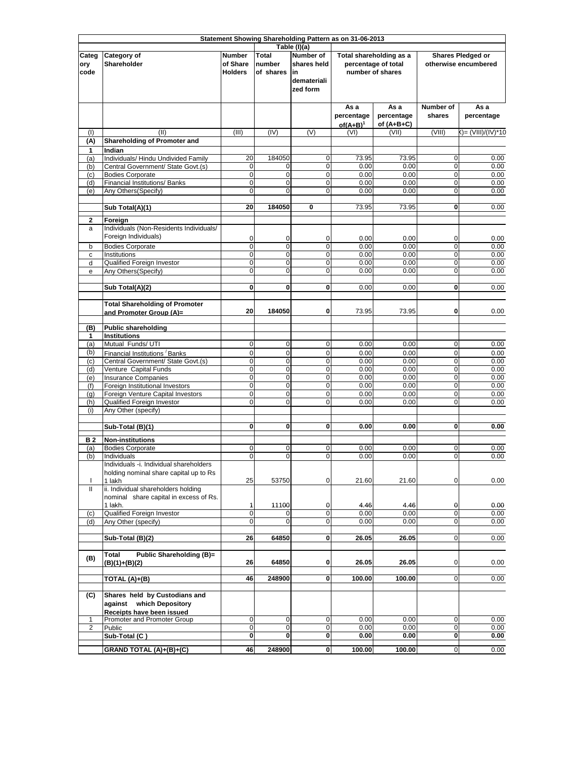|                              | Statement Showing Shareholding Pattern as on 31-06-2013                                |                                             |                                     |                                                                                   |                                   |                                                                    |                                           |                    |  |
|------------------------------|----------------------------------------------------------------------------------------|---------------------------------------------|-------------------------------------|-----------------------------------------------------------------------------------|-----------------------------------|--------------------------------------------------------------------|-------------------------------------------|--------------------|--|
| Categ<br>ory<br>code         | Category of<br>Shareholder                                                             | <b>Number</b><br>of Share<br><b>Holders</b> | <b>Total</b><br>number<br>of shares | Table (I)(a)<br><b>Number of</b><br>shares held<br>lin<br>demateriali<br>zed form |                                   | Total shareholding as a<br>percentage of total<br>number of shares | Shares Pledged or<br>otherwise encumbered |                    |  |
|                              |                                                                                        |                                             |                                     |                                                                                   | As a<br>percentage<br>$of(A+B)^1$ | As a<br>percentage<br>of $(A+B+C)$                                 | Number of<br>shares                       | As a<br>percentage |  |
| (1)<br>(A)                   | (II)<br><b>Shareholding of Promoter and</b>                                            | (III)                                       | (IV)                                | (V)                                                                               | (VI)                              | (VII)                                                              | (VIII)                                    | ()= (VIII)/(IV)*10 |  |
| 1                            | Indian                                                                                 |                                             |                                     |                                                                                   |                                   |                                                                    |                                           |                    |  |
| (a)<br>(b)                   | Individuals/ Hindu Undivided Family<br>Central Government/ State Govt.(s)              | 20<br>0                                     | 184050<br>0                         | 0<br>0                                                                            | 73.95<br>0.00                     | 73.95<br>0.00                                                      | 0<br>0                                    | 0.00<br>0.00       |  |
| (c)                          | <b>Bodies Corporate</b>                                                                | $\mathbf 0$                                 | $\mathbf 0$                         | 0                                                                                 | 0.00                              | 0.00                                                               | $\mathbf 0$                               | 0.00               |  |
| (d)<br>(e)                   | Financial Institutions/ Banks<br>Any Others(Specify)                                   | $\overline{0}$<br>0                         | $\mathbf 0$<br>$\mathbf 0$          | $\mathbf 0$<br>$\mathbf 0$                                                        | 0.00<br>0.00                      | 0.00<br>0.00                                                       | $\mathbf 0$<br>$\mathbf 0$                | 0.00<br>0.00       |  |
|                              |                                                                                        |                                             |                                     |                                                                                   |                                   |                                                                    |                                           |                    |  |
|                              | Sub Total(A)(1)                                                                        | 20                                          | 184050                              | 0                                                                                 | 73.95                             | 73.95                                                              | $\mathbf 0$                               | 0.00               |  |
| $\mathbf{2}$<br>a            | Foreign<br>Individuals (Non-Residents Individuals/<br>Foreign Individuals)             | 0                                           | 0                                   | 0                                                                                 | 0.00                              | 0.00                                                               | 0                                         | 0.00               |  |
| b<br>с                       | <b>Bodies Corporate</b><br>Institutions                                                | 0<br>$\mathbf 0$                            | $\overline{0}$<br>$\mathbf 0$       | $\overline{0}$<br>$\mathbf 0$                                                     | 0.00<br>0.00                      | 0.00<br>0.00                                                       | $\mathbf 0$<br>$\mathbf 0$                | 0.00<br>0.00       |  |
| d                            | Qualified Foreign Investor                                                             | $\mathbf 0$                                 | $\mathbf 0$                         | $\mathbf 0$                                                                       | 0.00                              | 0.00                                                               | $\mathbf 0$                               | 0.00               |  |
| e                            | Any Others (Specify)                                                                   | $\mathbf 0$                                 | $\mathbf 0$                         | 0                                                                                 | 0.00                              | 0.00                                                               | $\mathbf 0$                               | 0.00               |  |
|                              | Sub Total(A)(2)                                                                        | $\mathbf{0}$                                | 0                                   | 0                                                                                 | 0.00                              | 0.00                                                               | 0                                         | 0.00               |  |
|                              | <b>Total Shareholding of Promoter</b><br>and Promoter Group (A)=                       | 20                                          | 184050                              | 0                                                                                 | 73.95                             | 73.95                                                              | 0                                         | 0.00               |  |
|                              | <b>Public shareholding</b>                                                             |                                             |                                     |                                                                                   |                                   |                                                                    |                                           |                    |  |
| (B)<br>1                     | <b>Institutions</b>                                                                    |                                             |                                     |                                                                                   |                                   |                                                                    |                                           |                    |  |
| (a)                          | Mutual Funds/ UTI                                                                      | $\mathbf 0$                                 | $\mathbf 0$                         | $\mathbf 0$                                                                       | 0.00                              | 0.00                                                               | $\mathbf 0$                               | 0.00               |  |
| (b)                          | Financial Institutions Banks<br>Central Government/ State Govt.(s)                     | $\mathbf 0$<br>$\mathbf 0$                  | $\mathbf 0$<br>$\mathbf 0$          | $\mathbf 0$<br>0                                                                  | 0.00<br>0.00                      | 0.00<br>0.00                                                       | $\mathbf 0$<br>$\mathbf 0$                | 0.00<br>0.00       |  |
| (c)<br>(d)                   | Venture Capital Funds                                                                  | $\mathbf 0$                                 | $\mathbf 0$                         | $\mathbf 0$                                                                       | 0.00                              | 0.00                                                               | $\mathbf 0$                               | 0.00               |  |
| (e)                          | <b>Insurance Companies</b>                                                             | O                                           | $\mathbf 0$                         | $\mathbf 0$                                                                       | 0.00                              | 0.00                                                               | $\mathbf 0$                               | 0.00               |  |
| (f)                          | Foreign Institutional Investors<br>Foreign Venture Capital Investors                   | O<br>O                                      | $\pmb{0}$<br>$\overline{0}$         | 0<br>$\mathbf 0$                                                                  | 0.00<br>0.00                      | 0.00<br>0.00                                                       | $\mathbf 0$<br>$\mathbf 0$                | 0.00<br>0.00       |  |
| (q)<br>(h)                   | Qualified Foreign Investor                                                             | $\overline{0}$                              | $\mathbf 0$                         | $\mathbf 0$                                                                       | 0.00                              | 0.00                                                               | $\mathbf 0$                               | 0.00               |  |
| (i)                          | Any Other (specify)                                                                    |                                             |                                     |                                                                                   |                                   |                                                                    |                                           |                    |  |
|                              | Sub-Total (B)(1)                                                                       | $\mathbf 0$                                 | 0                                   | 0                                                                                 | 0.00                              | 0.00                                                               | 0                                         | 0.00               |  |
| <b>B2</b>                    | <b>Non-institutions</b>                                                                |                                             |                                     |                                                                                   |                                   |                                                                    |                                           |                    |  |
| (a)                          | <b>Bodies Corporate</b>                                                                | $\mathbf 0$                                 | 0                                   | 0                                                                                 | 0.00                              | 0.00                                                               | 0                                         | 0.00               |  |
| (b)                          | Individuals<br>Individuals -i. Individual shareholders                                 | $\overline{0}$                              | 0                                   | 0                                                                                 | 0.00                              | 0.00                                                               | 0                                         | 0.00               |  |
|                              | holding nominal share capital up to Rs                                                 |                                             |                                     |                                                                                   |                                   |                                                                    |                                           |                    |  |
| T                            | 1 lakh<br>ii. Individual shareholders holding                                          | 25                                          | 53750                               | 0                                                                                 | 21.60                             | 21.60                                                              | $\mathbf 0$                               | 0.00               |  |
| Ш                            | nominal share capital in excess of Rs.                                                 |                                             |                                     |                                                                                   |                                   |                                                                    |                                           |                    |  |
|                              | 1 lakh.                                                                                | 1                                           | 11100                               | 0                                                                                 | 4.46                              | 4.46                                                               | 0                                         | 0.00               |  |
| (c)                          | <b>Qualified Foreign Investor</b><br>Any Other (specify)                               | $\mathbf 0$<br>0                            | 0                                   | 0<br>0                                                                            | 0.00<br>0.00                      | 0.00<br>0.00                                                       | $\mathbf 0$<br>0                          | 0.00<br>0.00       |  |
| (d)                          |                                                                                        |                                             |                                     |                                                                                   |                                   |                                                                    |                                           |                    |  |
|                              | Sub-Total (B)(2)                                                                       | 26                                          | 64850                               | 0                                                                                 | 26.05                             | 26.05                                                              | $\mathbf 0$                               | 0.00               |  |
| (B)                          | Public Shareholding (B)=<br><b>Total</b><br>(B)(1)+(B)(2)                              | 26                                          | 64850                               | 0                                                                                 | 26.05                             | 26.05                                                              | 0                                         | 0.00               |  |
|                              | TOTAL (A)+(B)                                                                          | 46                                          | 248900                              | 0                                                                                 | 100.00                            | 100.00                                                             | $\overline{0}$                            | 0.00               |  |
| (C)                          | Shares held by Custodians and<br>against which Depository<br>Receipts have been issued |                                             |                                     |                                                                                   |                                   |                                                                    |                                           |                    |  |
| 1<br>$\overline{\mathbf{c}}$ | Promoter and Promoter Group<br>Public                                                  | $\mathbf 0$<br>$\mathbf 0$                  | $\mathbf 0$<br>0                    | 0<br>0                                                                            | 0.00<br>0.00                      | 0.00<br>0.00                                                       | $\mathbf 0$<br>0                          | 0.00<br>0.00       |  |
|                              | Sub-Total (C)                                                                          | 0                                           | 0                                   | 0                                                                                 | 0.00                              | 0.00                                                               | $\mathbf{0}$                              | 0.00               |  |
|                              | GRAND TOTAL (A)+(B)+(C)                                                                | 46                                          | 248900                              | 0                                                                                 | 100.00                            | 100.00                                                             | $\mathbf 0$                               | 0.00               |  |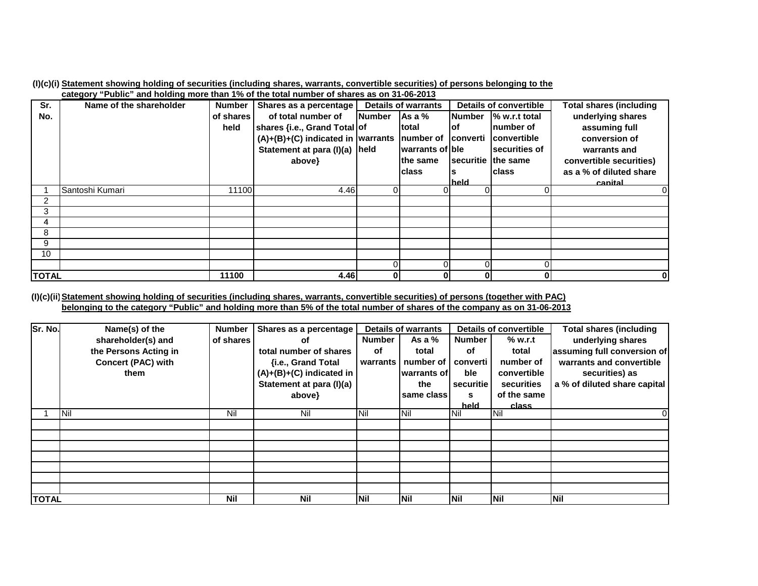|                                                                                                               |  |  |  | (I)(c)(i) Statement showing holding of securities (including shares, warrants, convertible securities) of persons belonging to the |  |
|---------------------------------------------------------------------------------------------------------------|--|--|--|------------------------------------------------------------------------------------------------------------------------------------|--|
| . An An An An An An An an air and the sense of the total primitive to an air and an air an air An An An An An |  |  |  |                                                                                                                                    |  |

|                 | category "Public" and noiging more than 1% of the total number of shares as on 31-06-2013 |               |                                                                          |               |                            |                             |                               |                                |
|-----------------|-------------------------------------------------------------------------------------------|---------------|--------------------------------------------------------------------------|---------------|----------------------------|-----------------------------|-------------------------------|--------------------------------|
| Sr.             | Name of the shareholder                                                                   | <b>Number</b> | Shares as a percentage                                                   |               | <b>Details of warrants</b> |                             | <b>Details of convertible</b> | <b>Total shares (including</b> |
| No.             |                                                                                           | of shares     | of total number of                                                       | <b>Number</b> | $\overline{A}$ s a %       | <b>Number</b>               | % w.r.t total                 | underlying shares              |
|                 |                                                                                           | held          | shares {i.e., Grand Total of                                             |               | Itotal                     | lof                         | Inumber of                    | assuming full                  |
|                 |                                                                                           |               | $(A)+(B)+(C)$ indicated in warrants   number of   converti   convertible |               |                            |                             |                               | conversion of                  |
|                 |                                                                                           |               | Statement at para (I)(a) held                                            |               | warrants of ble            |                             | securities of                 | warrants and                   |
|                 |                                                                                           |               | above}                                                                   |               | the same                   | <b>Isecuritie Ithe same</b> |                               | convertible securities)        |
|                 |                                                                                           |               |                                                                          |               | <b>class</b>               |                             | <b>class</b>                  | as a % of diluted share        |
|                 |                                                                                           |               |                                                                          |               |                            | held                        |                               | canital                        |
|                 | Santoshi Kumari                                                                           | 11100         | 4.46                                                                     |               |                            |                             |                               |                                |
| 2               |                                                                                           |               |                                                                          |               |                            |                             |                               |                                |
| 3               |                                                                                           |               |                                                                          |               |                            |                             |                               |                                |
| 4               |                                                                                           |               |                                                                          |               |                            |                             |                               |                                |
| 8               |                                                                                           |               |                                                                          |               |                            |                             |                               |                                |
| 9               |                                                                                           |               |                                                                          |               |                            |                             |                               |                                |
| 10 <sup>°</sup> |                                                                                           |               |                                                                          |               |                            |                             |                               |                                |
|                 |                                                                                           |               |                                                                          |               |                            |                             |                               |                                |
| <b>TOTAL</b>    |                                                                                           | 11100         | 4.46                                                                     | 0             |                            | 01                          | 0                             |                                |
|                 |                                                                                           |               |                                                                          |               |                            |                             |                               |                                |

(I)(c)(ii) <u>Statement showing holding of securities (including shares, warrants, convertible securities) of persons (together with PAC)</u> <u>belonging to the category "Public" and holding more than 5% of the total number of shares of the company as on 31-06-2013</u>

| Sr. No.      | Name(s) of the            | <b>Number</b> | Shares as a percentage     | <b>Details of warrants</b> |             |               | <b>Details of convertible</b> | <b>Total shares (including</b> |
|--------------|---------------------------|---------------|----------------------------|----------------------------|-------------|---------------|-------------------------------|--------------------------------|
|              | shareholder(s) and        | of shares     | οf                         | <b>Number</b>              | As a $%$    | <b>Number</b> | % w.r.t                       | underlying shares              |
|              | the Persons Acting in     |               | total number of shares     | оf                         | total       | оf            | total                         | assuming full conversion of    |
|              | <b>Concert (PAC) with</b> |               | {i.e., Grand Total         | warrants                   | number of   | converti      | number of                     | warrants and convertible       |
|              | them                      |               | $(A)+(B)+(C)$ indicated in |                            | warrants of | ble           | convertible                   | securities) as                 |
|              |                           |               | Statement at para (I)(a)   |                            | the         | securitie     | securities                    | a % of diluted share capital   |
|              |                           |               | above}                     |                            | same class  | s             | of the same                   |                                |
|              |                           |               |                            |                            |             | held          | class                         |                                |
|              | <b>INil</b>               | Nil           | Nil                        | <b>INil</b>                | <b>Nil</b>  | <b>Nil</b>    | <b>Nil</b>                    | 0                              |
|              |                           |               |                            |                            |             |               |                               |                                |
|              |                           |               |                            |                            |             |               |                               |                                |
|              |                           |               |                            |                            |             |               |                               |                                |
|              |                           |               |                            |                            |             |               |                               |                                |
|              |                           |               |                            |                            |             |               |                               |                                |
|              |                           |               |                            |                            |             |               |                               |                                |
|              |                           |               |                            |                            |             |               |                               |                                |
| <b>TOTAL</b> |                           | <b>Nil</b>    | <b>Nil</b>                 | <b>INil</b>                | <b>Nil</b>  | <b>INil</b>   | Nil                           | <b>Nil</b>                     |